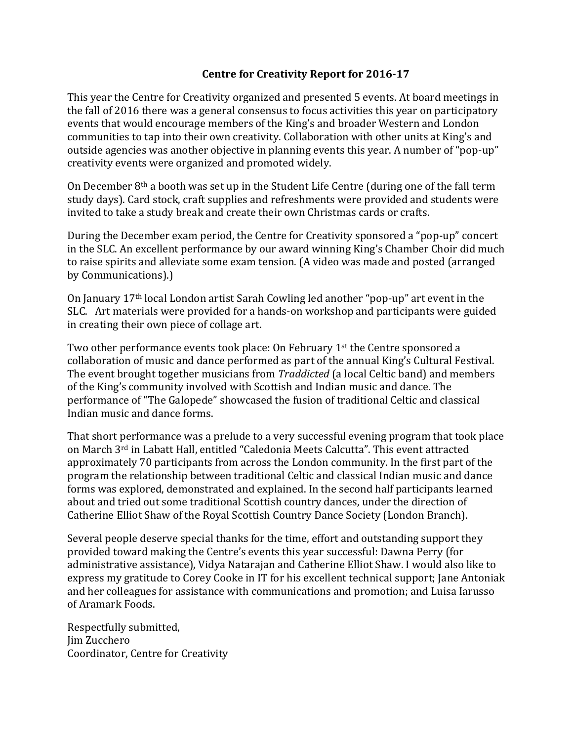## **Centre for Creativity Report for 2016-17**

This year the Centre for Creativity organized and presented 5 events. At board meetings in the fall of 2016 there was a general consensus to focus activities this year on participatory events that would encourage members of the King's and broader Western and London communities to tap into their own creativity. Collaboration with other units at King's and outside agencies was another objective in planning events this year. A number of "pop-up" creativity events were organized and promoted widely.

On December  $8<sup>th</sup>$  a booth was set up in the Student Life Centre (during one of the fall term study days). Card stock, craft supplies and refreshments were provided and students were invited to take a study break and create their own Christmas cards or crafts.

During the December exam period, the Centre for Creativity sponsored a "pop-up" concert in the SLC. An excellent performance by our award winning King's Chamber Choir did much to raise spirits and alleviate some exam tension. (A video was made and posted (arranged by Communications).)

On January 17th local London artist Sarah Cowling led another "pop-up" art event in the SLC. Art materials were provided for a hands-on workshop and participants were guided in creating their own piece of collage art.

Two other performance events took place: On February 1<sup>st</sup> the Centre sponsored a collaboration of music and dance performed as part of the annual King's Cultural Festival. The event brought together musicians from *Traddicted* (a local Celtic band) and members of the King's community involved with Scottish and Indian music and dance. The performance of "The Galopede" showcased the fusion of traditional Celtic and classical Indian music and dance forms.

That short performance was a prelude to a very successful evening program that took place on March 3rd in Labatt Hall, entitled "Caledonia Meets Calcutta". This event attracted approximately 70 participants from across the London community. In the first part of the program the relationship between traditional Celtic and classical Indian music and dance forms was explored, demonstrated and explained. In the second half participants learned about and tried out some traditional Scottish country dances, under the direction of Catherine Elliot Shaw of the Royal Scottish Country Dance Society (London Branch).

Several people deserve special thanks for the time, effort and outstanding support they provided toward making the Centre's events this year successful: Dawna Perry (for administrative assistance), Vidya Natarajan and Catherine Elliot Shaw. I would also like to express my gratitude to Corey Cooke in IT for his excellent technical support; Jane Antoniak and her colleagues for assistance with communications and promotion; and Luisa Iarusso of Aramark Foods.

Respectfully submitted, Jim Zucchero Coordinator, Centre for Creativity